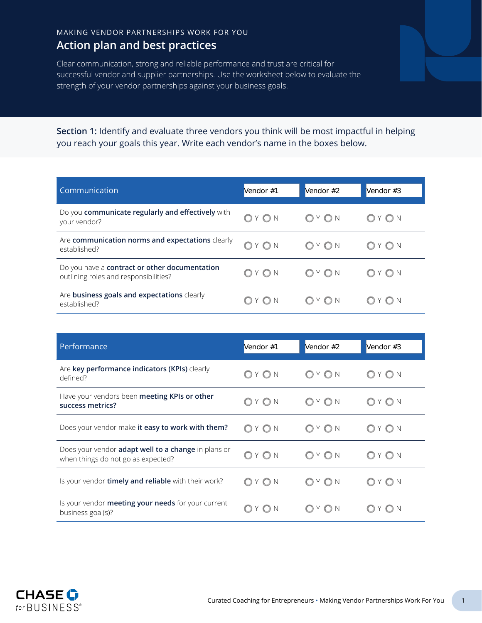## MAKING VENDOR PARTNERSHIPS WORK FOR YOU **Action plan and best practices**

Clear communication, strong and reliable performance and trust are critical for successful vendor and supplier partnerships. Use the worksheet below to evaluate the strength of your vendor partnerships against your business goals.

**Section 1:** Identify and evaluate three vendors you think will be most impactful in helping you reach your goals this year. Write each vendor's name in the boxes below.

| Communication                                                                          | Vendor #1 | Vendor #2 | Vendor #3 |
|----------------------------------------------------------------------------------------|-----------|-----------|-----------|
| Do you communicate regularly and effectively with<br>your vendor?                      | OY ON     | OYON      | YON       |
| Are communication norms and expectations clearly<br>established?                       | OYON      | OYON      | Y O N     |
| Do you have a contract or other documentation<br>outlining roles and responsibilities? | OY ON     | $OY$ $ON$ | Y O N     |
| Are business goals and expectations clearly<br>established?                            | YON       | $OY$ $ON$ | YON       |
|                                                                                        |           |           |           |
| Performance                                                                            | Vendor #1 | Vendor #2 | Vendor #3 |

| Performance                                                                                      | Vendor #1 | Vendor #2 | Vendor #3 |
|--------------------------------------------------------------------------------------------------|-----------|-----------|-----------|
| Are key performance indicators (KPIs) clearly<br>defined?                                        | OYON      | OYON      | OYON      |
| Have your vendors been meeting KPIs or other<br>success metrics?                                 | OYON      | OYON      | YON       |
| Does your vendor make it easy to work with them?                                                 | OYON      | OYON      | OYON      |
| Does your vendor <b>adapt well to a change</b> in plans or<br>when things do not go as expected? | YON       | $OY$ $ON$ | O N       |
| Is your vendor <b>timely and reliable</b> with their work?                                       | OYON      | OYON      | Y ON      |
| Is your vendor meeting your needs for your current<br>business goal(s)?                          | $OY$ $ON$ | $OY$ $ON$ | Y ON      |

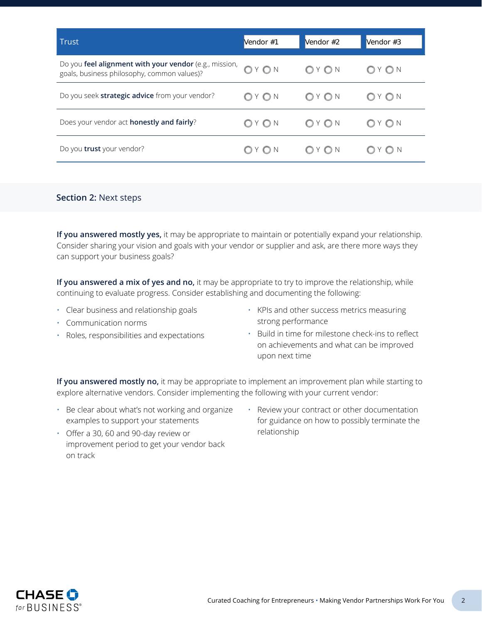| Trust                                                                                                 | Vendor #1 | Vendor #2        | Vendor #3      |
|-------------------------------------------------------------------------------------------------------|-----------|------------------|----------------|
| Do you feel alignment with your vendor (e.g., mission,<br>goals, business philosophy, common values)? | OYON      | $OY$ ON          | O <sub>N</sub> |
| Do you seek strategic advice from your vendor?                                                        | $OY$ $ON$ | $Y$ $\bigcirc$ N | Y O N          |
| Does your vendor act honestly and fairly?                                                             | $OY$ $ON$ | $OY$ $ON$        | Y O N          |
| Do you trust your vendor?                                                                             | O Y O N   |                  |                |

## **Section 2:** Next steps

**If you answered mostly yes,** it may be appropriate to maintain or potentially expand your relationship. Consider sharing your vision and goals with your vendor or supplier and ask, are there more ways they can support your business goals?

**If you answered a mix of yes and no,** it may be appropriate to try to improve the relationship, while continuing to evaluate progress. Consider establishing and documenting the following:

- Clear business and relationship goals
- KPIs and other success metrics measuring strong performance
- Communication norms
- Roles, responsibilities and expectations
- Build in time for milestone check-ins to reflect on achievements and what can be improved upon next time

**If you answered mostly no,** it may be appropriate to implement an improvement plan while starting to explore alternative vendors. Consider implementing the following with your current vendor:

- Be clear about what's not working and organize examples to support your statements
- Review your contract or other documentation for guidance on how to possibly terminate the relationship
- Offer a 30, 60 and 90-day review or improvement period to get your vendor back on track



Curated Coaching for Entrepreneurs • Making Vendor Partnerships Work For You 2